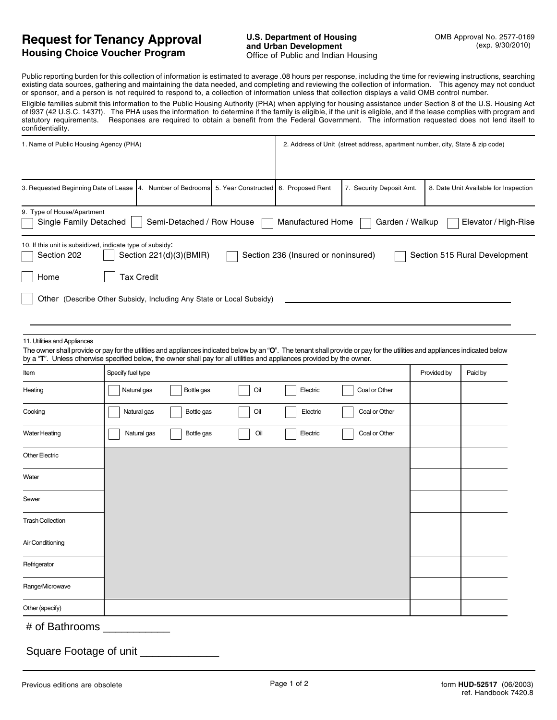## **Request for Tenancy Approval Housing Choice Voucher Program**

Public reporting burden for this collection of information is estimated to average .08 hours per response, including the time for reviewing instructions, searching existing data sources, gathering and maintaining the data needed, and completing and reviewing the collection of information. This agency may not conduct or sponsor, and a person is not required to respond to, a collection of information unless that collection displays a valid OMB control number.

Eligible families submit this information to the Public Housing Authority (PHA) when applying for housing assistance under Section 8 of the U.S. Housing Act of l937 (42 U.S.C. 1437f). The PHA uses the information to determine if the family is eligible, if the unit is eligible, and if the lease complies with program and statutory requirements. Responses are required to obtain a benefit from the Federal Government. The information requested does not lend itself to confidentiality.

| 1. Name of Public Housing Agency (PHA)                                                                                                                                                                                                                                                                                                 |                                              |            | 2. Address of Unit (street address, apartment number, city, State & zip code) |                                     |                          |             |                                       |
|----------------------------------------------------------------------------------------------------------------------------------------------------------------------------------------------------------------------------------------------------------------------------------------------------------------------------------------|----------------------------------------------|------------|-------------------------------------------------------------------------------|-------------------------------------|--------------------------|-------------|---------------------------------------|
| 3. Requested Beginning Date of Lease   4. Number of Bedrooms                                                                                                                                                                                                                                                                           |                                              |            | 5. Year Constructed                                                           | 6. Proposed Rent                    | 7. Security Deposit Amt. |             | 8. Date Unit Available for Inspection |
| 9. Type of House/Apartment<br>Single Family Detached<br>Semi-Detached / Row House<br>Manufactured Home<br>Garden / Walkup<br>Elevator / High-Rise                                                                                                                                                                                      |                                              |            |                                                                               |                                     |                          |             |                                       |
| 10. If this unit is subsidized, indicate type of subsidy:<br>Section 202<br>Home<br>Other (Describe Other Subsidy, Including Any State or Local Subsidy)                                                                                                                                                                               | Section 221(d)(3)(BMIR)<br><b>Tax Credit</b> |            |                                                                               | Section 236 (Insured or noninsured) |                          |             | Section 515 Rural Development         |
| 11. Utilities and Appliances<br>The owner shall provide or pay for the utilities and appliances indicated below by an "O". The tenant shall provide or pay for the utilities and appliances indicated below<br>by a "T". Unless otherwise specified below, the owner shall pay for all utilities and appliances provided by the owner. |                                              |            |                                                                               |                                     |                          |             |                                       |
| Item                                                                                                                                                                                                                                                                                                                                   | Specify fuel type                            |            |                                                                               |                                     |                          | Provided by | Paid by                               |
| Heating                                                                                                                                                                                                                                                                                                                                | Natural gas                                  | Bottle gas | Oil                                                                           | Electric                            | Coal or Other            |             |                                       |
| Cooking                                                                                                                                                                                                                                                                                                                                | Natural gas                                  | Bottle gas | Oil                                                                           | Electric                            | Coal or Other            |             |                                       |
| <b>Water Heating</b>                                                                                                                                                                                                                                                                                                                   | Natural gas                                  | Bottle gas | Oil                                                                           | Electric                            | Coal or Other            |             |                                       |
| <b>Other Electric</b>                                                                                                                                                                                                                                                                                                                  |                                              |            |                                                                               |                                     |                          |             |                                       |
| Water                                                                                                                                                                                                                                                                                                                                  |                                              |            |                                                                               |                                     |                          |             |                                       |
| Sewer                                                                                                                                                                                                                                                                                                                                  |                                              |            |                                                                               |                                     |                          |             |                                       |
| <b>Trash Collection</b>                                                                                                                                                                                                                                                                                                                |                                              |            |                                                                               |                                     |                          |             |                                       |
| Air Conditioning                                                                                                                                                                                                                                                                                                                       |                                              |            |                                                                               |                                     |                          |             |                                       |
| Refrigerator                                                                                                                                                                                                                                                                                                                           |                                              |            |                                                                               |                                     |                          |             |                                       |
| Range/Microwave                                                                                                                                                                                                                                                                                                                        |                                              |            |                                                                               |                                     |                          |             |                                       |
| Other (specify)                                                                                                                                                                                                                                                                                                                        |                                              |            |                                                                               |                                     |                          |             |                                       |
|                                                                                                                                                                                                                                                                                                                                        |                                              |            |                                                                               |                                     |                          |             |                                       |

## # of Bathrooms  $\frac{\phantom{1}}{2}$

Square Footage of unit